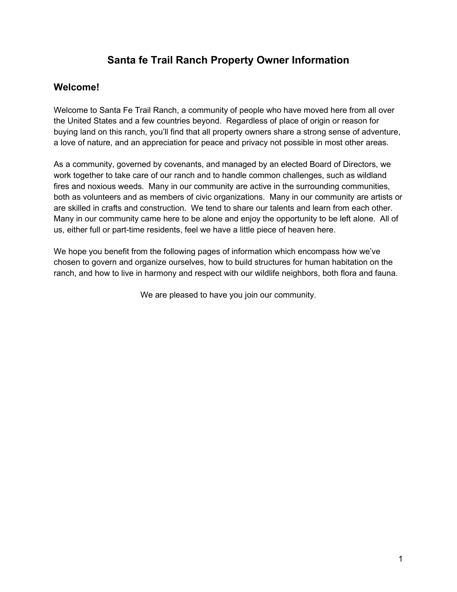# **Santa fe Trail Ranch Property Owner Information**

# **Welcome!**

Welcome to Santa Fe Trail Ranch, a community of people who have moved here from all over the United States and a few countries beyond. Regardless of place of origin or reason for buying land on this ranch, you'll find that all property owners share a strong sense of adventure, a love of nature, and an appreciation for peace and privacy not possible in most other areas.

As a community, governed by covenants, and managed by an elected Board of Directors, we work together to take care of our ranch and to handle common challenges, such as wildland fires and noxious weeds. Many in our community are active in the surrounding communities, both as volunteers and as members of civic organizations. Many in our community are artists or are skilled in crafts and construction. We tend to share our talents and learn from each other. Many in our community came here to be alone and enjoy the opportunity to be left alone. All of us, either full or part-time residents, feel we have a little piece of heaven here.

We hope you benefit from the following pages of information which encompass how we've chosen to govern and organize ourselves, how to build structures for human habitation on the ranch, and how to live in harmony and respect with our wildlife neighbors, both flora and fauna.

We are pleased to have you join our community.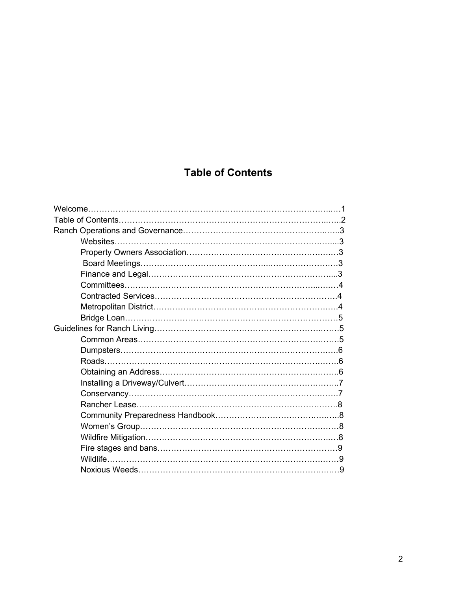# **Table of Contents**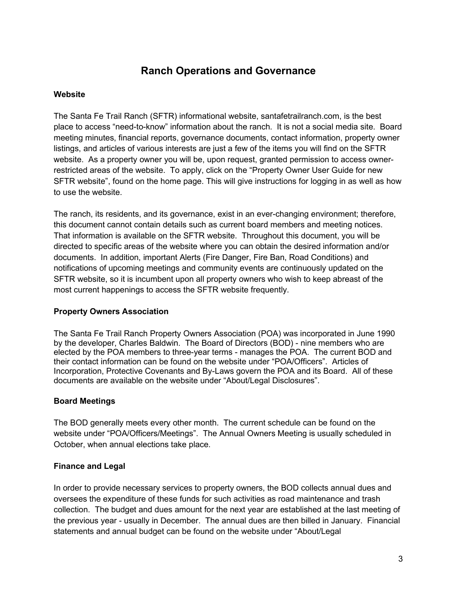# **Ranch Operations and Governance**

## **Website**

The Santa Fe Trail Ranch (SFTR) informational website, santafetrailranch.com, is the best place to access "need-to-know" information about the ranch. It is not a social media site. Board meeting minutes, financial reports, governance documents, contact information, property owner listings, and articles of various interests are just a few of the items you will find on the SFTR website. As a property owner you will be, upon request, granted permission to access ownerrestricted areas of the website. To apply, click on the "Property Owner User Guide for new SFTR website", found on the home page. This will give instructions for logging in as well as how to use the website.

The ranch, its residents, and its governance, exist in an ever-changing environment; therefore, this document cannot contain details such as current board members and meeting notices. That information is available on the SFTR website. Throughout this document, you will be directed to specific areas of the website where you can obtain the desired information and/or documents. In addition, important Alerts (Fire Danger, Fire Ban, Road Conditions) and notifications of upcoming meetings and community events are continuously updated on the SFTR website, so it is incumbent upon all property owners who wish to keep abreast of the most current happenings to access the SFTR website frequently.

#### **Property Owners Association**

The Santa Fe Trail Ranch Property Owners Association (POA) was incorporated in June 1990 by the developer, Charles Baldwin. The Board of Directors (BOD) - nine members who are elected by the POA members to three-year terms - manages the POA. The current BOD and their contact information can be found on the website under "POA/Officers". Articles of Incorporation, Protective Covenants and By-Laws govern the POA and its Board. All of these documents are available on the website under "About/Legal Disclosures".

## **Board Meetings**

The BOD generally meets every other month. The current schedule can be found on the website under "POA/Officers/Meetings". The Annual Owners Meeting is usually scheduled in October, when annual elections take place.

## **Finance and Legal**

In order to provide necessary services to property owners, the BOD collects annual dues and oversees the expenditure of these funds for such activities as road maintenance and trash collection. The budget and dues amount for the next year are established at the last meeting of the previous year - usually in December. The annual dues are then billed in January. Financial statements and annual budget can be found on the website under "About/Legal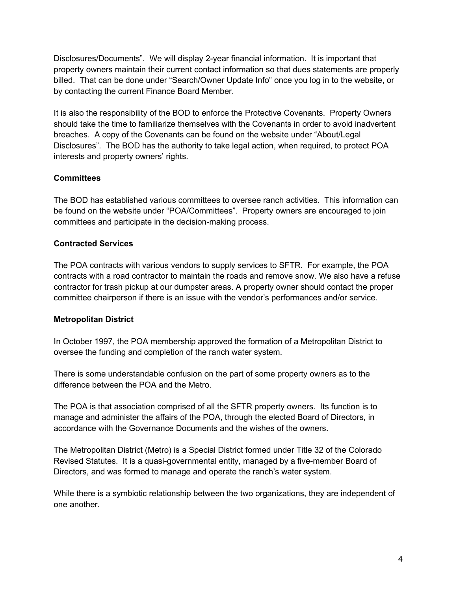Disclosures/Documents". We will display 2-year financial information. It is important that property owners maintain their current contact information so that dues statements are properly billed. That can be done under "Search/Owner Update Info" once you log in to the website, or by contacting the current Finance Board Member.

It is also the responsibility of the BOD to enforce the Protective Covenants. Property Owners should take the time to familiarize themselves with the Covenants in order to avoid inadvertent breaches. A copy of the Covenants can be found on the website under "About/Legal Disclosures". The BOD has the authority to take legal action, when required, to protect POA interests and property owners' rights.

## **Committees**

The BOD has established various committees to oversee ranch activities. This information can be found on the website under "POA/Committees". Property owners are encouraged to join committees and participate in the decision-making process.

## **Contracted Services**

The POA contracts with various vendors to supply services to SFTR. For example, the POA contracts with a road contractor to maintain the roads and remove snow. We also have a refuse contractor for trash pickup at our dumpster areas. A property owner should contact the proper committee chairperson if there is an issue with the vendor's performances and/or service.

## **Metropolitan District**

In October 1997, the POA membership approved the formation of a Metropolitan District to oversee the funding and completion of the ranch water system.

There is some understandable confusion on the part of some property owners as to the difference between the POA and the Metro.

The POA is that association comprised of all the SFTR property owners. Its function is to manage and administer the affairs of the POA, through the elected Board of Directors, in accordance with the Governance Documents and the wishes of the owners.

The Metropolitan District (Metro) is a Special District formed under Title 32 of the Colorado Revised Statutes. It is a quasi-governmental entity, managed by a five-member Board of Directors, and was formed to manage and operate the ranch's water system.

While there is a symbiotic relationship between the two organizations, they are independent of one another.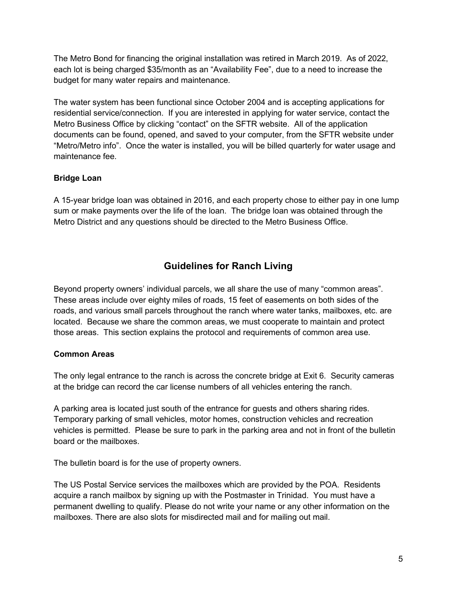The Metro Bond for financing the original installation was retired in March 2019. As of 2022, each lot is being charged \$35/month as an "Availability Fee", due to a need to increase the budget for many water repairs and maintenance.

The water system has been functional since October 2004 and is accepting applications for residential service/connection. If you are interested in applying for water service, contact the Metro Business Office by clicking "contact" on the SFTR website. All of the application documents can be found, opened, and saved to your computer, from the SFTR website under "Metro/Metro info". Once the water is installed, you will be billed quarterly for water usage and maintenance fee.

## **Bridge Loan**

A 15-year bridge loan was obtained in 2016, and each property chose to either pay in one lump sum or make payments over the life of the loan. The bridge loan was obtained through the Metro District and any questions should be directed to the Metro Business Office.

# **Guidelines for Ranch Living**

Beyond property owners' individual parcels, we all share the use of many "common areas". These areas include over eighty miles of roads, 15 feet of easements on both sides of the roads, and various small parcels throughout the ranch where water tanks, mailboxes, etc. are located. Because we share the common areas, we must cooperate to maintain and protect those areas. This section explains the protocol and requirements of common area use.

## **Common Areas**

The only legal entrance to the ranch is across the concrete bridge at Exit 6. Security cameras at the bridge can record the car license numbers of all vehicles entering the ranch.

A parking area is located just south of the entrance for guests and others sharing rides. Temporary parking of small vehicles, motor homes, construction vehicles and recreation vehicles is permitted. Please be sure to park in the parking area and not in front of the bulletin board or the mailboxes.

The bulletin board is for the use of property owners.

The US Postal Service services the mailboxes which are provided by the POA. Residents acquire a ranch mailbox by signing up with the Postmaster in Trinidad. You must have a permanent dwelling to qualify. Please do not write your name or any other information on the mailboxes. There are also slots for misdirected mail and for mailing out mail.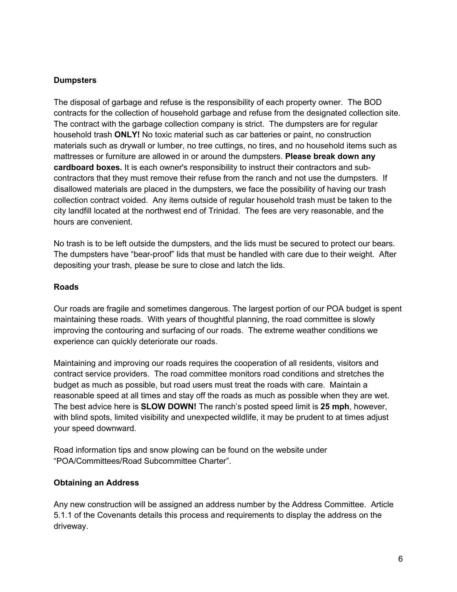#### **Dumpsters**

The disposal of garbage and refuse is the responsibility of each property owner. The BOD contracts for the collection of household garbage and refuse from the designated collection site. The contract with the garbage collection company is strict. The dumpsters are for regular household trash **ONLY!** No toxic material such as car batteries or paint, no construction materials such as drywall or lumber, no tree cuttings, no tires, and no household items such as mattresses or furniture are allowed in or around the dumpsters. **Please break down any cardboard boxes.** It is each owner's responsibility to instruct their contractors and subcontractors that they must remove their refuse from the ranch and not use the dumpsters. If disallowed materials are placed in the dumpsters, we face the possibility of having our trash collection contract voided. Any items outside of regular household trash must be taken to the city landfill located at the northwest end of Trinidad. The fees are very reasonable, and the hours are convenient.

No trash is to be left outside the dumpsters, and the lids must be secured to protect our bears. The dumpsters have "bear-proof" lids that must be handled with care due to their weight. After depositing your trash, please be sure to close and latch the lids.

#### **Roads**

Our roads are fragile and sometimes dangerous. The largest portion of our POA budget is spent maintaining these roads. With years of thoughtful planning, the road committee is slowly improving the contouring and surfacing of our roads. The extreme weather conditions we experience can quickly deteriorate our roads.

Maintaining and improving our roads requires the cooperation of all residents, visitors and contract service providers. The road committee monitors road conditions and stretches the budget as much as possible, but road users must treat the roads with care. Maintain a reasonable speed at all times and stay off the roads as much as possible when they are wet. The best advice here is **SLOW DOWN!** The ranch's posted speed limit is **25 mph**, however, with blind spots, limited visibility and unexpected wildlife, it may be prudent to at times adjust your speed downward.

Road information tips and snow plowing can be found on the website under "POA/Committees/Road Subcommittee Charter".

#### **Obtaining an Address**

Any new construction will be assigned an address number by the Address Committee. Article 5.1.1 of the Covenants details this process and requirements to display the address on the driveway.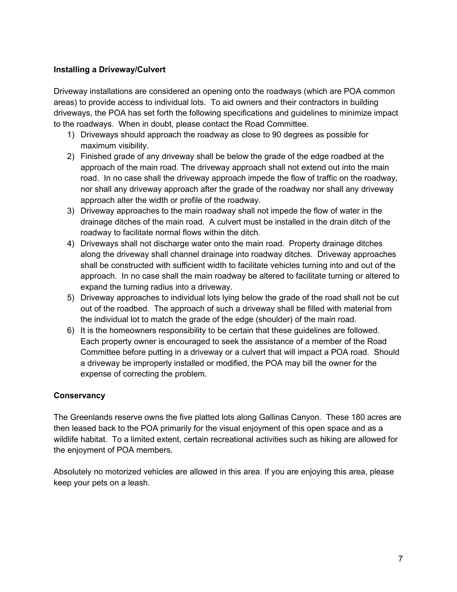## **Installing a Driveway/Culvert**

Driveway installations are considered an opening onto the roadways (which are POA common areas) to provide access to individual lots. To aid owners and their contractors in building driveways, the POA has set forth the following specifications and guidelines to minimize impact to the roadways. When in doubt, please contact the Road Committee.

- 1) Driveways should approach the roadway as close to 90 degrees as possible for maximum visibility.
- 2) Finished grade of any driveway shall be below the grade of the edge roadbed at the approach of the main road. The driveway approach shall not extend out into the main road. In no case shall the driveway approach impede the flow of traffic on the roadway, nor shall any driveway approach after the grade of the roadway nor shall any driveway approach alter the width or profile of the roadway.
- 3) Driveway approaches to the main roadway shall not impede the flow of water in the drainage ditches of the main road. A culvert must be installed in the drain ditch of the roadway to facilitate normal flows within the ditch.
- 4) Driveways shall not discharge water onto the main road. Property drainage ditches along the driveway shall channel drainage into roadway ditches. Driveway approaches shall be constructed with sufficient width to facilitate vehicles turning into and out of the approach. In no case shall the main roadway be altered to facilitate turning or altered to expand the turning radius into a driveway.
- 5) Driveway approaches to individual lots lying below the grade of the road shall not be cut out of the roadbed. The approach of such a driveway shall be filled with material from the individual lot to match the grade of the edge (shoulder) of the main road.
- 6) It is the homeowners responsibility to be certain that these guidelines are followed. Each property owner is encouraged to seek the assistance of a member of the Road Committee before putting in a driveway or a culvert that will impact a POA road. Should a driveway be improperly installed or modified, the POA may bill the owner for the expense of correcting the problem.

#### **Conservancy**

The Greenlands reserve owns the five platted lots along Gallinas Canyon. These 180 acres are then leased back to the POA primarily for the visual enjoyment of this open space and as a wildlife habitat. To a limited extent, certain recreational activities such as hiking are allowed for the enjoyment of POA members.

Absolutely no motorized vehicles are allowed in this area. If you are enjoying this area, please keep your pets on a leash.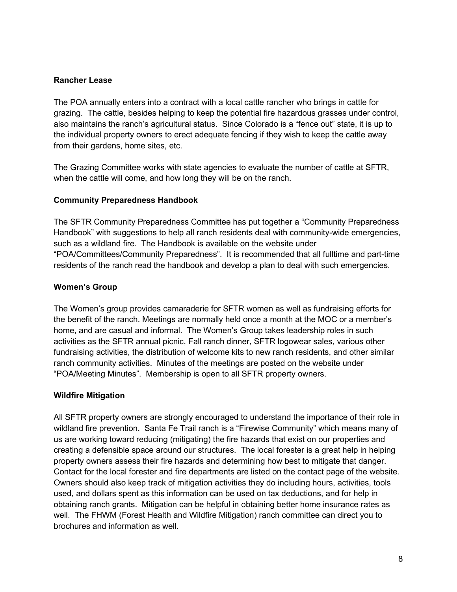#### **Rancher Lease**

The POA annually enters into a contract with a local cattle rancher who brings in cattle for grazing. The cattle, besides helping to keep the potential fire hazardous grasses under control, also maintains the ranch's agricultural status. Since Colorado is a "fence out" state, it is up to the individual property owners to erect adequate fencing if they wish to keep the cattle away from their gardens, home sites, etc.

The Grazing Committee works with state agencies to evaluate the number of cattle at SFTR, when the cattle will come, and how long they will be on the ranch.

#### **Community Preparedness Handbook**

The SFTR Community Preparedness Committee has put together a "Community Preparedness Handbook" with suggestions to help all ranch residents deal with community-wide emergencies, such as a wildland fire. The Handbook is available on the website under "POA/Committees/Community Preparedness". It is recommended that all fulltime and part-time residents of the ranch read the handbook and develop a plan to deal with such emergencies.

#### **Women's Group**

The Women's group provides camaraderie for SFTR women as well as fundraising efforts for the benefit of the ranch. Meetings are normally held once a month at the MOC or a member's home, and are casual and informal. The Women's Group takes leadership roles in such activities as the SFTR annual picnic, Fall ranch dinner, SFTR logowear sales, various other fundraising activities, the distribution of welcome kits to new ranch residents, and other similar ranch community activities. Minutes of the meetings are posted on the website under "POA/Meeting Minutes". Membership is open to all SFTR property owners.

#### **Wildfire Mitigation**

All SFTR property owners are strongly encouraged to understand the importance of their role in wildland fire prevention. Santa Fe Trail ranch is a "Firewise Community" which means many of us are working toward reducing (mitigating) the fire hazards that exist on our properties and creating a defensible space around our structures. The local forester is a great help in helping property owners assess their fire hazards and determining how best to mitigate that danger. Contact for the local forester and fire departments are listed on the contact page of the website. Owners should also keep track of mitigation activities they do including hours, activities, tools used, and dollars spent as this information can be used on tax deductions, and for help in obtaining ranch grants. Mitigation can be helpful in obtaining better home insurance rates as well. The FHWM (Forest Health and Wildfire Mitigation) ranch committee can direct you to brochures and information as well.